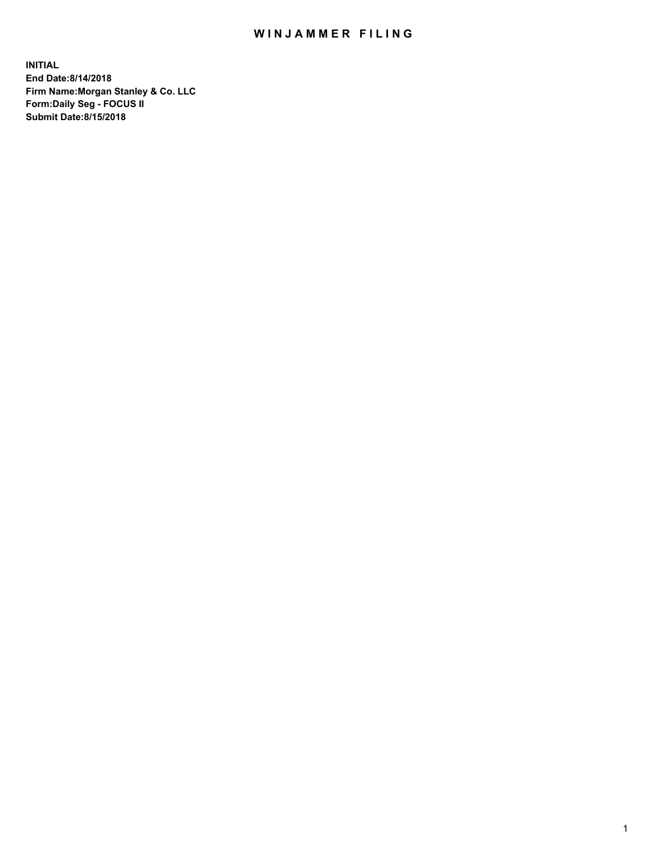## WIN JAMMER FILING

**INITIAL End Date:8/14/2018 Firm Name:Morgan Stanley & Co. LLC Form:Daily Seg - FOCUS II Submit Date:8/15/2018**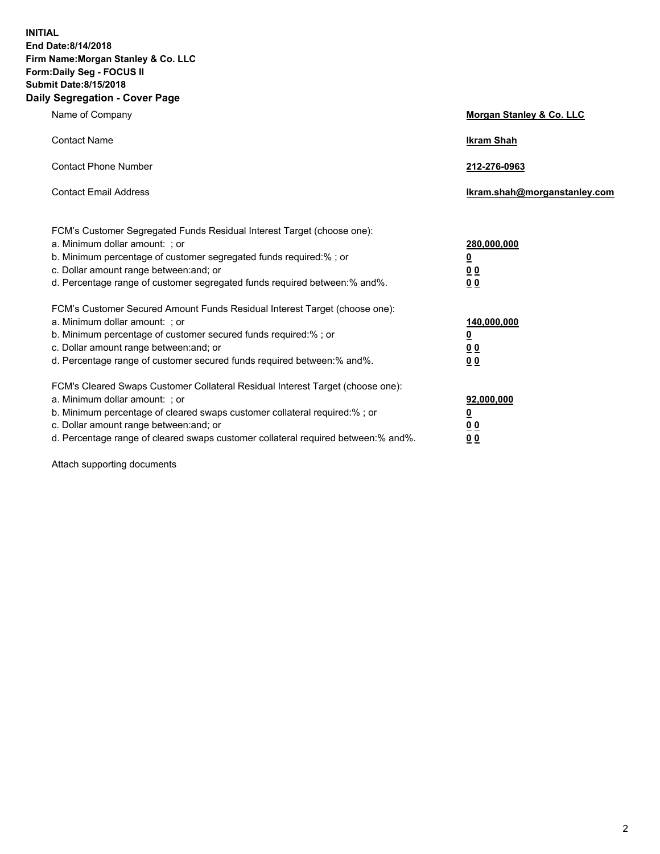**INITIAL End Date:8/14/2018 Firm Name:Morgan Stanley & Co. LLC Form:Daily Seg - FOCUS II Submit Date:8/15/2018 Daily Segregation - Cover Page**

| Name of Company                                                                                                                                                                                                                                                                                                               | Morgan Stanley & Co. LLC                                    |
|-------------------------------------------------------------------------------------------------------------------------------------------------------------------------------------------------------------------------------------------------------------------------------------------------------------------------------|-------------------------------------------------------------|
| <b>Contact Name</b>                                                                                                                                                                                                                                                                                                           | <b>Ikram Shah</b>                                           |
| <b>Contact Phone Number</b>                                                                                                                                                                                                                                                                                                   | 212-276-0963                                                |
| <b>Contact Email Address</b>                                                                                                                                                                                                                                                                                                  | Ikram.shah@morganstanley.com                                |
| FCM's Customer Segregated Funds Residual Interest Target (choose one):<br>a. Minimum dollar amount: ; or<br>b. Minimum percentage of customer segregated funds required:% ; or<br>c. Dollar amount range between: and; or<br>d. Percentage range of customer segregated funds required between:% and%.                        | 280,000,000<br><u>0</u><br><u>00</u><br>0 <sup>0</sup>      |
| FCM's Customer Secured Amount Funds Residual Interest Target (choose one):<br>a. Minimum dollar amount: ; or<br>b. Minimum percentage of customer secured funds required:%; or<br>c. Dollar amount range between: and; or<br>d. Percentage range of customer secured funds required between:% and%.                           | 140,000,000<br><u>0</u><br>0 <sub>0</sub><br>0 <sub>0</sub> |
| FCM's Cleared Swaps Customer Collateral Residual Interest Target (choose one):<br>a. Minimum dollar amount: ; or<br>b. Minimum percentage of cleared swaps customer collateral required:%; or<br>c. Dollar amount range between: and; or<br>d. Percentage range of cleared swaps customer collateral required between:% and%. | 92,000,000<br><u>0</u><br>0 Q<br>00                         |

Attach supporting documents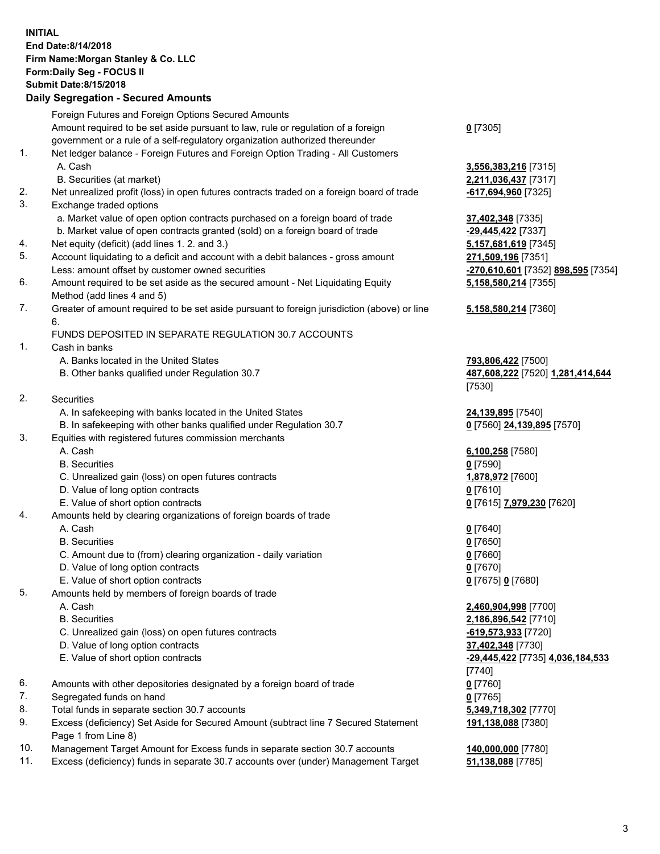## **INITIAL End Date:8/14/2018 Firm Name:Morgan Stanley & Co. LLC Form:Daily Seg - FOCUS II Submit Date:8/15/2018 Daily Segregation - Secured Amounts**

Foreign Futures and Foreign Options Secured Amounts Amount required to be set aside pursuant to law, rule or regulation of a foreign government or a rule of a self-regulatory organization authorized thereunder 1. Net ledger balance - Foreign Futures and Foreign Option Trading - All Customers A. Cash **3,556,383,216** [7315] B. Securities (at market) **2,211,036,437** [7317] 2. Net unrealized profit (loss) in open futures contracts traded on a foreign board of trade **-617,694,960** [7325] 3. Exchange traded options a. Market value of open option contracts purchased on a foreign board of trade **37,402,348** [7335] b. Market value of open contracts granted (sold) on a foreign board of trade **-29,445,422** [7337] 4. Net equity (deficit) (add lines 1. 2. and 3.) **5,157,681,619** [7345] 5. Account liquidating to a deficit and account with a debit balances - gross amount **271,509,196** [7351] Less: amount offset by customer owned securities **-270,610,601** [7352] **898,595** [7354] 6. Amount required to be set aside as the secured amount - Net Liquidating Equity Method (add lines 4 and 5) 7. Greater of amount required to be set aside pursuant to foreign jurisdiction (above) or line 6. FUNDS DEPOSITED IN SEPARATE REGULATION 30.7 ACCOUNTS 1. Cash in banks A. Banks located in the United States **793,806,422** [7500] B. Other banks qualified under Regulation 30.7 **487,608,222** [7520] **1,281,414,644** 2. Securities A. In safekeeping with banks located in the United States **24,139,895** [7540] B. In safekeeping with other banks qualified under Regulation 30.7 **0** [7560] **24,139,895** [7570] 3. Equities with registered futures commission merchants A. Cash **6,100,258** [7580] B. Securities **0** [7590] C. Unrealized gain (loss) on open futures contracts **1,878,972** [7600] D. Value of long option contracts **0** [7610] E. Value of short option contracts **0** [7615] **7,979,230** [7620] 4. Amounts held by clearing organizations of foreign boards of trade A. Cash **0** [7640] B. Securities **0** [7650] C. Amount due to (from) clearing organization - daily variation **0** [7660] D. Value of long option contracts **0** [7670] E. Value of short option contracts **0** [7675] **0** [7680] 5. Amounts held by members of foreign boards of trade A. Cash **2,460,904,998** [7700] B. Securities **2,186,896,542** [7710] C. Unrealized gain (loss) on open futures contracts **-619,573,933** [7720] D. Value of long option contracts **37,402,348** [7730] E. Value of short option contracts **-29,445,422** [7735] **4,036,184,533** 6. Amounts with other depositories designated by a foreign board of trade **0** [7760]

- 7. Segregated funds on hand **0** [7765]
- 8. Total funds in separate section 30.7 accounts **5,349,718,302** [7770]
- 9. Excess (deficiency) Set Aside for Secured Amount (subtract line 7 Secured Statement Page 1 from Line 8)
- 10. Management Target Amount for Excess funds in separate section 30.7 accounts **140,000,000** [7780]
- 11. Excess (deficiency) funds in separate 30.7 accounts over (under) Management Target **51,138,088** [7785]

**0** [7305]

**5,158,580,214** [7355]

## **5,158,580,214** [7360]

[7530]

[7740] **191,138,088** [7380]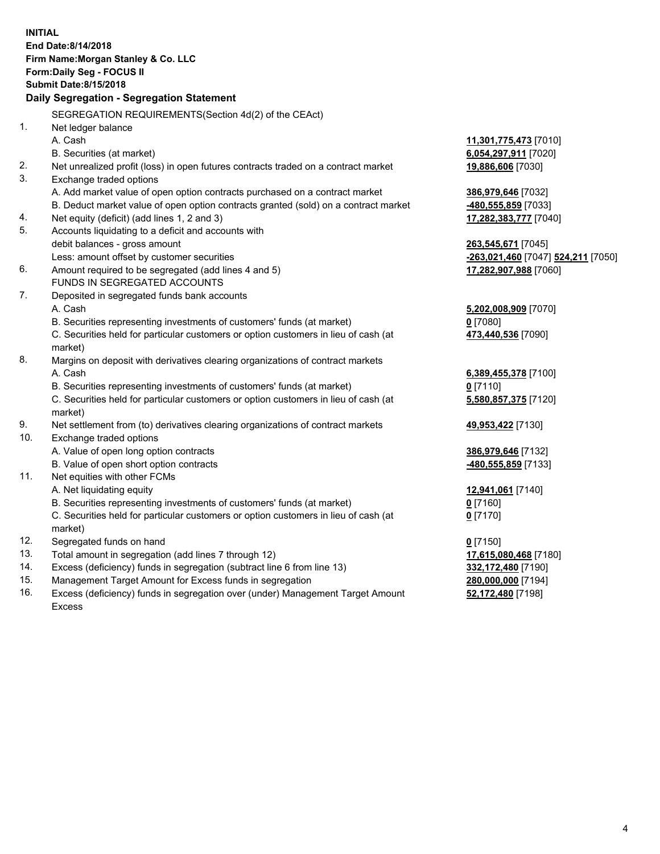|            | <b>INITIAL</b><br>End Date: 8/14/2018                                               |                                          |
|------------|-------------------------------------------------------------------------------------|------------------------------------------|
|            | Firm Name: Morgan Stanley & Co. LLC                                                 |                                          |
|            | Form: Daily Seg - FOCUS II                                                          |                                          |
|            | <b>Submit Date: 8/15/2018</b>                                                       |                                          |
|            | Daily Segregation - Segregation Statement                                           |                                          |
|            | SEGREGATION REQUIREMENTS(Section 4d(2) of the CEAct)                                |                                          |
| 1.         | Net ledger balance                                                                  |                                          |
|            | A. Cash                                                                             | 11,301,775,473 [7010]                    |
|            | B. Securities (at market)                                                           | 6,054,297,911 [7020]                     |
| 2.         | Net unrealized profit (loss) in open futures contracts traded on a contract market  | 19,886,606 [7030]                        |
| 3.         | Exchange traded options                                                             |                                          |
|            | A. Add market value of open option contracts purchased on a contract market         | 386,979,646 [7032]                       |
|            | B. Deduct market value of open option contracts granted (sold) on a contract market | -480,555,859 [7033]                      |
| 4.         | Net equity (deficit) (add lines 1, 2 and 3)                                         | 17,282,383,777 [7040]                    |
| 5.         | Accounts liquidating to a deficit and accounts with                                 |                                          |
|            | debit balances - gross amount                                                       | 263,545,671 [7045]                       |
|            | Less: amount offset by customer securities                                          | -263,021,460 [7047] 524,211 [7050]       |
| 6.         | Amount required to be segregated (add lines 4 and 5)                                | 17,282,907,988 [7060]                    |
|            | FUNDS IN SEGREGATED ACCOUNTS                                                        |                                          |
| 7.         | Deposited in segregated funds bank accounts                                         |                                          |
|            | A. Cash                                                                             | 5,202,008,909 [7070]                     |
|            | B. Securities representing investments of customers' funds (at market)              | $0$ [7080]                               |
|            | C. Securities held for particular customers or option customers in lieu of cash (at | 473,440,536 [7090]                       |
|            | market)                                                                             |                                          |
| 8.         | Margins on deposit with derivatives clearing organizations of contract markets      |                                          |
|            | A. Cash                                                                             | 6,389,455,378 [7100]                     |
|            | B. Securities representing investments of customers' funds (at market)              | $0$ [7110]                               |
|            | C. Securities held for particular customers or option customers in lieu of cash (at | 5,580,857,375 [7120]                     |
|            | market)                                                                             |                                          |
| 9.         | Net settlement from (to) derivatives clearing organizations of contract markets     | 49,953,422 [7130]                        |
| 10.        | Exchange traded options                                                             |                                          |
|            | A. Value of open long option contracts                                              | 386,979,646 [7132]                       |
|            | B. Value of open short option contracts                                             | -480,555,859 [7133]                      |
| 11.        | Net equities with other FCMs                                                        |                                          |
|            | A. Net liquidating equity                                                           | 12,941,061 [7140]                        |
|            | B. Securities representing investments of customers' funds (at market)              | $0$ [7160]                               |
|            | C. Securities held for particular customers or option customers in lieu of cash (at | $0$ [7170]                               |
|            | market)                                                                             |                                          |
| 12.<br>13. | Segregated funds on hand<br>Total amount in segregation (add lines 7 through 12)    | $0$ [7150]                               |
| 14.        | Excess (deficiency) funds in segregation (subtract line 6 from line 13)             | 17,615,080,468 [7180]                    |
| 15.        | Management Target Amount for Excess funds in segregation                            | 332,172,480 [7190]<br>280,000,000 [7194] |
| 16.        | Excess (deficiency) funds in segregation over (under) Management Target Amount      | 52,172,480 [7198]                        |
|            |                                                                                     |                                          |

16. Excess (deficiency) funds in segregation over (under) Management Target Amount Excess